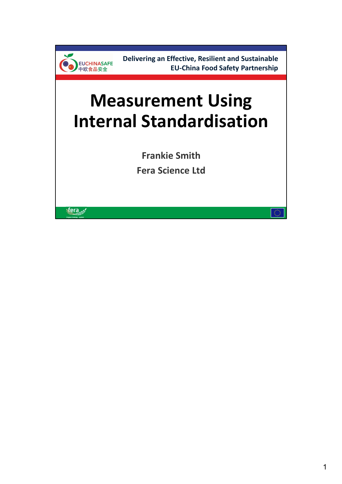

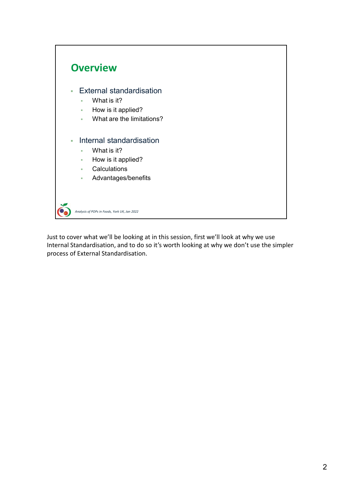

Just to cover what we'll be looking at in this session, first we'll look at why we use Internal Standardisation, and to do so it's worth looking at why we don't use the simpler process of External Standardisation.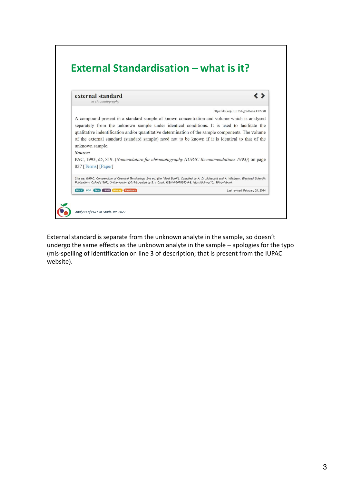

External standard is separate from the unknown analyte in the sample, so doesn't (mis-spelling of identification on line 3 of description; that is present from the IUPAC website).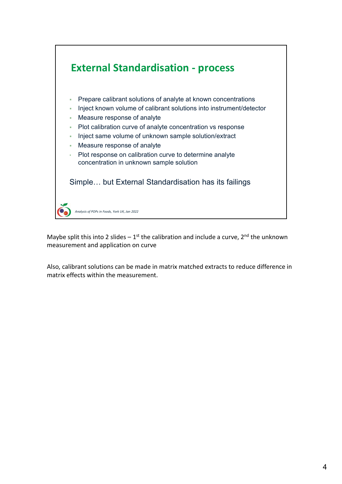

measurement and application on curve

Also, calibrant solutions can be made in matrix matched extracts to reduce difference in matrix effects within the measurement.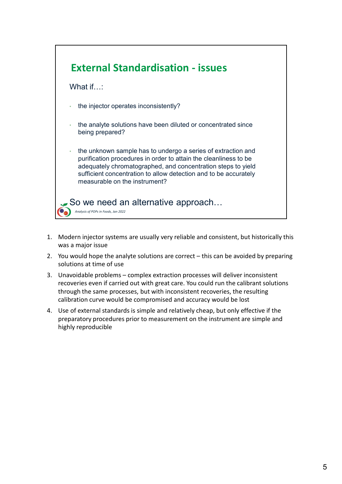

- was a major issue
- solutions at time of use
- recoveries even if carried out with great care. You could run the calibrant solutions through the same processes, but with inconsistent recoveries, the resulting calibration curve would be compromised and accuracy would be lost
- preparatory procedures prior to measurement on the instrument are simple and highly reproducible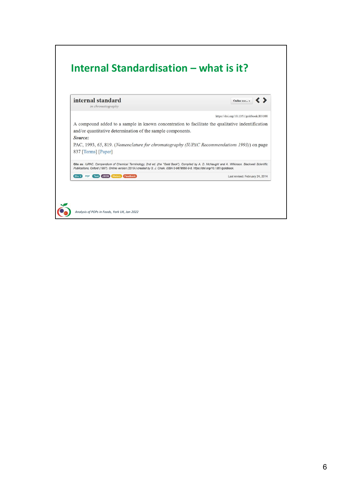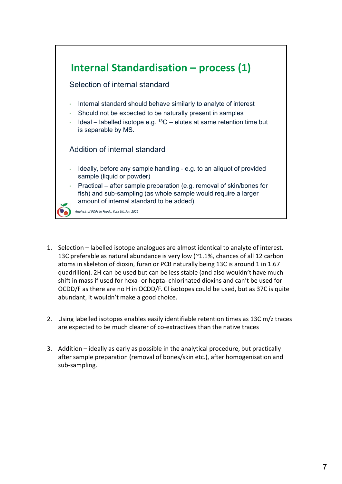

- 13C preferable as natural abundance is very low (~1.1%, chances of all 12 carbon atoms in skeleton of dioxin, furan or PCB naturally being 13C is around 1 in 1.67 quadrillion). 2H can be used but can be less stable (and also wouldn't have much OCDD/F as there are no H in OCDD/F. Cl isotopes could be used, but as 37C is quite abundant, it wouldn't make a good choice. Example (liquid or powder)<br>
Practical — after sample preparation (e.g. removal of skin/bones for<br>
fish) and sub-sampling (as whole sample would require a larger<br>
amount of internal standard to be added)<br>
<br> **1.** Selection 3. Addition – ideally as early as possible in the analytical procedure, but practical to analytical procedure.<br>
3. Selection – labelled isotope analogues are almost identical to analyte of interest.<br>
3. C preferable as na
- are expected to be much clearer of co-extractives than the native traces
- after sample preparation (removal of bones/skin etc.), after homogenisation and sub-sampling.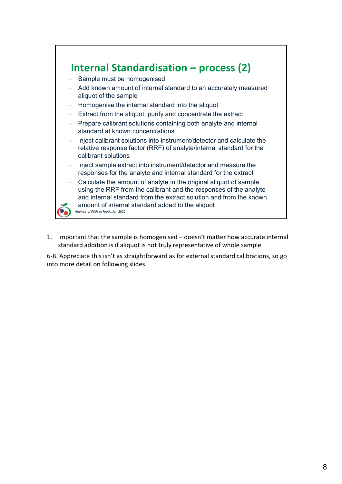

standard addition is if aliquot is not truly representative of whole sample

6-8. Appreciate this isn't as straightforward as for external standard calibrations, so go into more detail on following slides.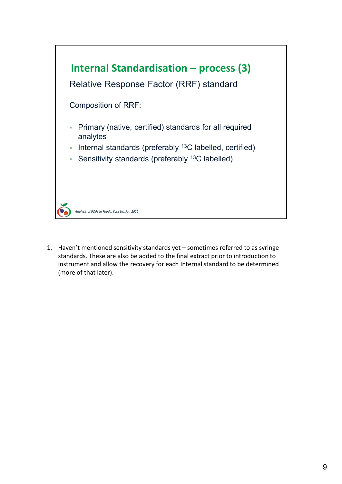

standards. These are also be added to the final extract prior to introduction to instrument and allow the recovery for each Internal standard to be determined (more of that later).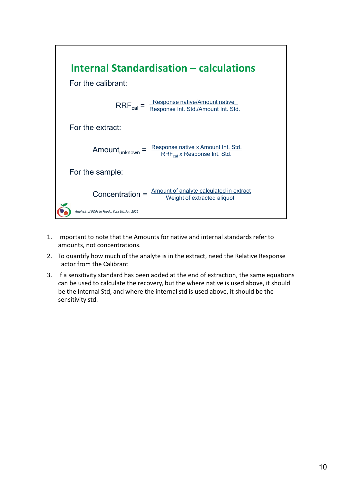

- amounts, not concentrations.
- Factor from the Calibrant
- can be used to calculate the recovery, but the where native is used above, it should be the Internal Std, and where the internal std is used above, it should be the sensitivity std.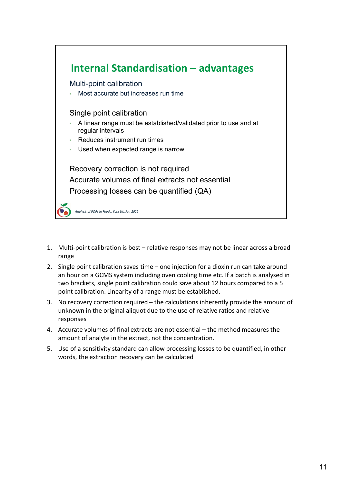

- range
- an hour on a GCMS system including oven cooling time etc. If a batch is analysed in two brackets, single point calibration could save about 12 hours compared to a 5 point calibration. Linearity of a range must be established. **Example:**<br>
5. Multi-point calibration is best – relative responses may not be linear across a broad<br>
5. Single point calibration saves time – one injection for a dioxin run can take around<br>
5. Single point calibration sa
- unknown in the original aliquot due to the use of relative ratios and relative responses
- amount of analyte in the extract, not the concentration.
- words, the extraction recovery can be calculated